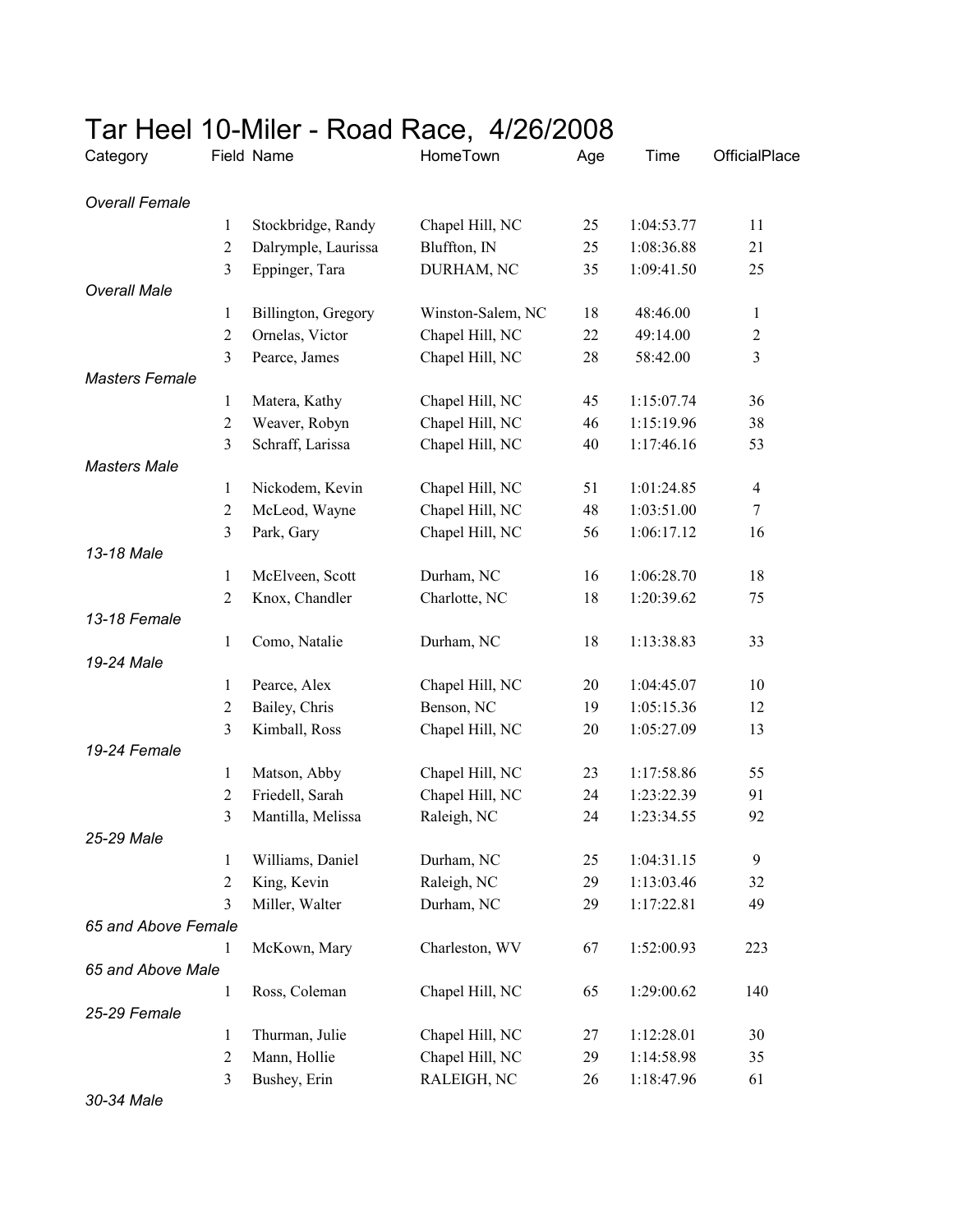| Category              |                | Field Name          | HomeTown          | Age | Time       | OfficialPlace  |
|-----------------------|----------------|---------------------|-------------------|-----|------------|----------------|
| <b>Overall Female</b> |                |                     |                   |     |            |                |
|                       | 1              | Stockbridge, Randy  | Chapel Hill, NC   | 25  | 1:04:53.77 | 11             |
|                       | $\overline{2}$ | Dalrymple, Laurissa | Bluffton, IN      | 25  | 1:08:36.88 | 21             |
|                       | 3              | Eppinger, Tara      | DURHAM, NC        | 35  | 1:09:41.50 | 25             |
| <b>Overall Male</b>   |                |                     |                   |     |            |                |
|                       | 1              | Billington, Gregory | Winston-Salem, NC | 18  | 48:46.00   | $\mathbf{1}$   |
|                       | $\overline{c}$ | Ornelas, Victor     | Chapel Hill, NC   | 22  | 49:14.00   | $\sqrt{2}$     |
|                       | 3              | Pearce, James       | Chapel Hill, NC   | 28  | 58:42.00   | $\overline{3}$ |
| <b>Masters Female</b> |                |                     |                   |     |            |                |
|                       | 1              | Matera, Kathy       | Chapel Hill, NC   | 45  | 1:15:07.74 | 36             |
|                       | $\overline{2}$ | Weaver, Robyn       | Chapel Hill, NC   | 46  | 1:15:19.96 | 38             |
|                       | 3              | Schraff, Larissa    | Chapel Hill, NC   | 40  | 1:17:46.16 | 53             |
| <b>Masters Male</b>   |                |                     |                   |     |            |                |
|                       | 1              | Nickodem, Kevin     | Chapel Hill, NC   | 51  | 1:01:24.85 | $\overline{4}$ |
|                       | $\overline{2}$ | McLeod, Wayne       | Chapel Hill, NC   | 48  | 1:03:51.00 | $\tau$         |
|                       | 3              | Park, Gary          | Chapel Hill, NC   | 56  | 1:06:17.12 | 16             |
| 13-18 Male            |                |                     |                   |     |            |                |
|                       | 1              | McElveen, Scott     | Durham, NC        | 16  | 1:06:28.70 | 18             |
|                       | 2              | Knox, Chandler      | Charlotte, NC     | 18  | 1:20:39.62 | 75             |
| 13-18 Female          |                |                     |                   |     |            |                |
|                       | 1              | Como, Natalie       | Durham, NC        | 18  | 1:13:38.83 | 33             |
| 19-24 Male            |                |                     |                   |     |            |                |
|                       | 1              | Pearce, Alex        | Chapel Hill, NC   | 20  | 1:04:45.07 | 10             |
|                       | $\overline{2}$ | Bailey, Chris       | Benson, NC        | 19  | 1:05:15.36 | 12             |
|                       | 3              | Kimball, Ross       | Chapel Hill, NC   | 20  | 1:05:27.09 | 13             |
| 19-24 Female          |                |                     |                   |     |            |                |
|                       | 1              | Matson, Abby        | Chapel Hill, NC   | 23  | 1:17:58.86 | 55             |
|                       | $\overline{2}$ | Friedell, Sarah     | Chapel Hill, NC   | 24  | 1:23:22.39 | 91             |
|                       | 3              | Mantilla, Melissa   | Raleigh, NC       | 24  | 1:23:34.55 | 92             |
| 25-29 Male            |                |                     |                   |     |            |                |
|                       | 1              | Williams, Daniel    | Durham, NC        | 25  | 1:04:31.15 | 9              |
|                       | $\overline{2}$ | King, Kevin         | Raleigh, NC       | 29  | 1:13:03.46 | 32             |
|                       | 3              | Miller, Walter      | Durham, NC        | 29  | 1:17:22.81 | 49             |
| 65 and Above Female   |                |                     |                   |     |            |                |
|                       | 1              | McKown, Mary        | Charleston, WV    | 67  | 1:52:00.93 | 223            |
| 65 and Above Male     |                |                     |                   |     |            |                |
| 25-29 Female          | 1              | Ross, Coleman       | Chapel Hill, NC   | 65  | 1:29:00.62 | 140            |
|                       | 1              | Thurman, Julie      | Chapel Hill, NC   | 27  | 1:12:28.01 | 30             |
|                       | $\overline{2}$ | Mann, Hollie        | Chapel Hill, NC   | 29  | 1:14:58.98 | 35             |
|                       | 3              | Bushey, Erin        | RALEIGH, NC       | 26  | 1:18:47.96 | 61             |

## Tar Heel 10-Miler - Road Race, 4/26/2008

*30-34 Male*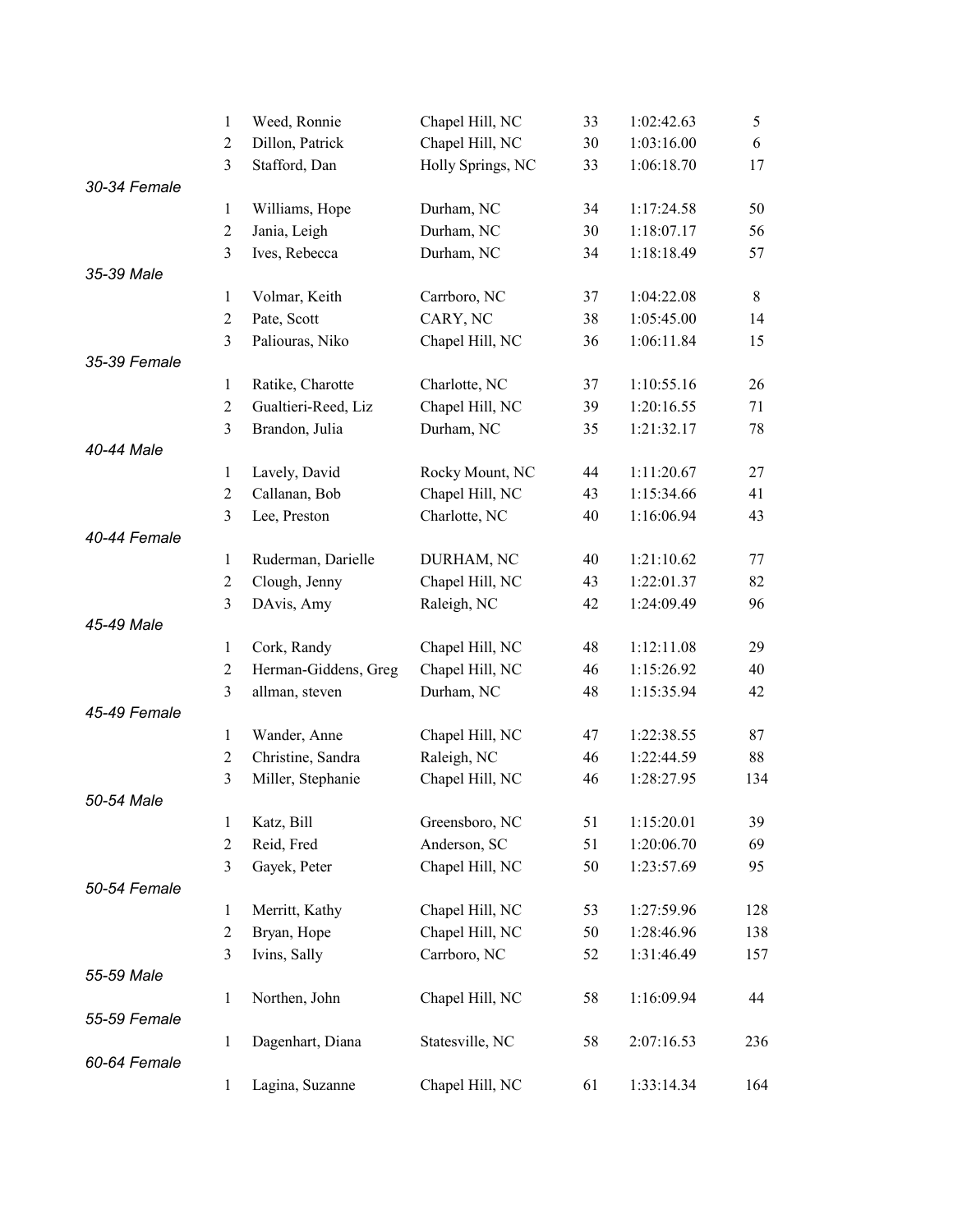|              | 1              | Weed, Ronnie         | Chapel Hill, NC   | 33 | 1:02:42.63 | 5   |
|--------------|----------------|----------------------|-------------------|----|------------|-----|
|              | $\overline{2}$ | Dillon, Patrick      | Chapel Hill, NC   | 30 | 1:03:16.00 | 6   |
|              | $\overline{3}$ | Stafford, Dan        | Holly Springs, NC | 33 | 1:06:18.70 | 17  |
| 30-34 Female |                |                      |                   |    |            |     |
|              | $\mathbf{1}$   | Williams, Hope       | Durham, NC        | 34 | 1:17:24.58 | 50  |
|              | $\mathbf{2}$   | Jania, Leigh         | Durham, NC        | 30 | 1:18:07.17 | 56  |
|              | $\overline{3}$ | Ives, Rebecca        | Durham, NC        | 34 | 1:18:18.49 | 57  |
| 35-39 Male   |                |                      |                   |    |            |     |
|              | $\mathbf{1}$   | Volmar, Keith        | Carrboro, NC      | 37 | 1:04:22.08 | 8   |
|              | $\overline{2}$ | Pate, Scott          | CARY, NC          | 38 | 1:05:45.00 | 14  |
|              | 3              | Paliouras, Niko      | Chapel Hill, NC   | 36 | 1:06:11.84 | 15  |
| 35-39 Female |                |                      |                   |    |            |     |
|              | $\mathbf{1}$   | Ratike, Charotte     | Charlotte, NC     | 37 | 1:10:55.16 | 26  |
|              | $\overline{2}$ | Gualtieri-Reed, Liz  | Chapel Hill, NC   | 39 | 1:20:16.55 | 71  |
|              | 3              | Brandon, Julia       | Durham, NC        | 35 | 1:21:32.17 | 78  |
| 40-44 Male   |                |                      |                   |    |            |     |
|              | $\mathbf{1}$   | Lavely, David        | Rocky Mount, NC   | 44 | 1:11:20.67 | 27  |
|              | $\overline{2}$ | Callanan, Bob        | Chapel Hill, NC   | 43 | 1:15:34.66 | 41  |
|              | 3              | Lee, Preston         | Charlotte, NC     | 40 | 1:16:06.94 | 43  |
| 40-44 Female |                |                      |                   |    |            |     |
|              | $\mathbf{1}$   | Ruderman, Darielle   | DURHAM, NC        | 40 | 1:21:10.62 | 77  |
|              | $\overline{c}$ | Clough, Jenny        | Chapel Hill, NC   | 43 | 1:22:01.37 | 82  |
|              | 3              | DAvis, Amy           | Raleigh, NC       | 42 | 1:24:09.49 | 96  |
| 45-49 Male   |                |                      |                   |    |            |     |
|              | $\mathbf{1}$   | Cork, Randy          | Chapel Hill, NC   | 48 | 1:12:11.08 | 29  |
|              | $\mathfrak{2}$ | Herman-Giddens, Greg | Chapel Hill, NC   | 46 | 1:15:26.92 | 40  |
|              | 3              | allman, steven       | Durham, NC        | 48 | 1:15:35.94 | 42  |
| 45-49 Female |                |                      |                   |    |            |     |
|              | $\mathbf{1}$   | Wander, Anne         | Chapel Hill, NC   | 47 | 1:22:38.55 | 87  |
|              | $\overline{2}$ | Christine, Sandra    | Raleigh, NC       | 46 | 1:22:44.59 | 88  |
|              | 3              | Miller, Stephanie    | Chapel Hill, NC   | 46 | 1:28:27.95 | 134 |
| 50-54 Male   |                |                      |                   |    |            |     |
|              | $\mathbf{1}$   | Katz, Bill           | Greensboro, NC    | 51 | 1:15:20.01 | 39  |
|              | $\mathbf{2}$   | Reid, Fred           | Anderson, SC      | 51 | 1:20:06.70 | 69  |
|              | 3              | Gayek, Peter         | Chapel Hill, NC   | 50 | 1:23:57.69 | 95  |
| 50-54 Female |                |                      |                   |    |            |     |
|              | $\mathbf{1}$   | Merritt, Kathy       | Chapel Hill, NC   | 53 | 1:27:59.96 | 128 |
|              | $\overline{c}$ | Bryan, Hope          | Chapel Hill, NC   | 50 | 1:28:46.96 | 138 |
|              | 3              | Ivins, Sally         | Carrboro, NC      | 52 | 1:31:46.49 | 157 |
| 55-59 Male   |                |                      |                   |    |            |     |
|              | $\mathbf{1}$   | Northen, John        | Chapel Hill, NC   | 58 | 1:16:09.94 | 44  |
| 55-59 Female |                |                      |                   |    |            |     |
|              | $\mathbf{1}$   | Dagenhart, Diana     | Statesville, NC   | 58 | 2:07:16.53 | 236 |
| 60-64 Female |                |                      |                   |    |            |     |
|              | $\mathbf{1}$   | Lagina, Suzanne      | Chapel Hill, NC   | 61 | 1:33:14.34 | 164 |